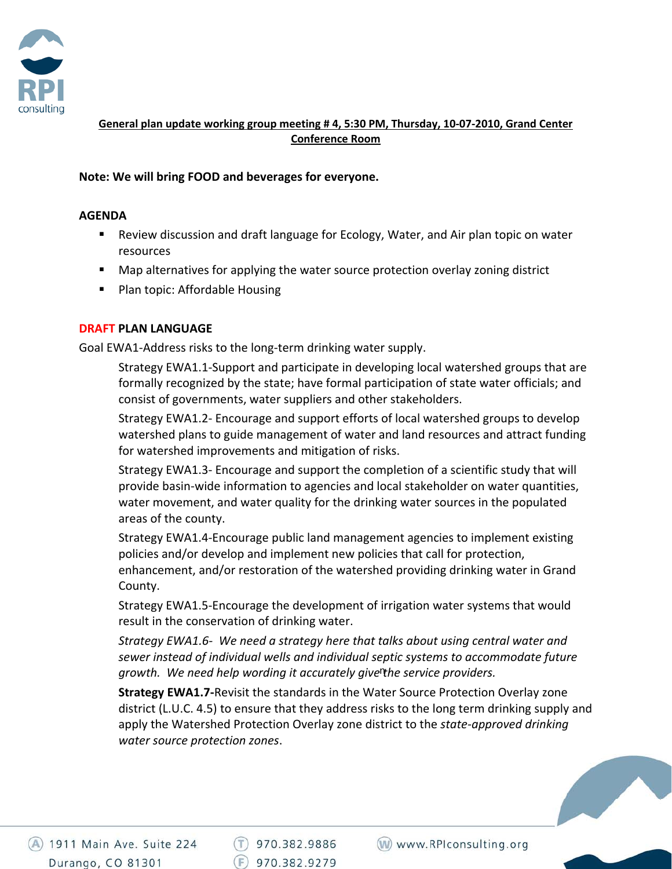

**General plan update working group meeting # 4, 5:30 PM, Thursday, 10‐07‐2010, Grand Center Conference Room**

## **Note: We will bring FOOD and beverages for everyone.**

#### **AGENDA**

- Review discussion and draft language for Ecology, Water, and Air plan topic on water resources
- Map alternatives for applying the water source protection overlay zoning district
- **Plan topic: Affordable Housing**

### **DRAFT PLAN LANGUAGE**

Goal EWA1‐Address risks to the long‐term drinking water supply.

Strategy EWA1.1‐Support and participate in developing local watershed groups that are formally recognized by the state; have formal participation of state water officials; and consist of governments, water suppliers and other stakeholders.

Strategy EWA1.2‐ Encourage and support efforts of local watershed groups to develop watershed plans to guide management of water and land resources and attract funding for watershed improvements and mitigation of risks.

Strategy EWA1.3‐ Encourage and support the completion of a scientific study that will provide basin‐wide information to agencies and local stakeholder on water quantities, water movement, and water quality for the drinking water sources in the populated areas of the county.

Strategy EWA1.4‐Encourage public land management agencies to implement existing policies and/or develop and implement new policies that call for protection, enhancement, and/or restoration of the watershed providing drinking water in Grand County.

Strategy EWA1.5‐Encourage the development of irrigation water systems that would result in the conservation of drinking water.

*Strategy EWA1.6‐ We need a strategy here that talks about using central water and sewer instead of individual wells and individual septic systems to accommodate future growth. We need help wording it accurately give the service providers.*  n

**Strategy EWA1.7‐**Revisit the standards in the Water Source Protection Overlay zone district (L.U.C. 4.5) to ensure that they address risks to the long term drinking supply and apply the Watershed Protection Overlay zone district to the *state‐approved drinking water source protection zones*.

(A) 1911 Main Ave. Suite 224 Durango, CO 81301

 $(T)$  970.382.9886  $F)$  970.382.9279

(W) www.RPIconsulting.org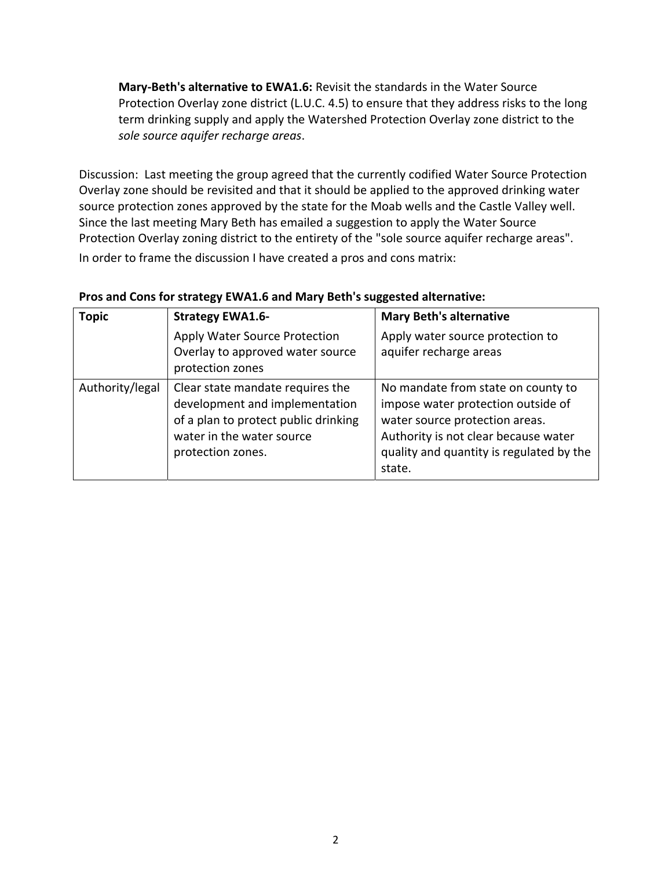**Mary‐Beth's alternative to EWA1.6:** Revisit the standards in the Water Source Protection Overlay zone district (L.U.C. 4.5) to ensure that they address risks to the long term drinking supply and apply the Watershed Protection Overlay zone district to the *sole source aquifer recharge areas*.

Discussion: Last meeting the group agreed that the currently codified Water Source Protection Overlay zone should be revisited and that it should be applied to the approved drinking water source protection zones approved by the state for the Moab wells and the Castle Valley well. Since the last meeting Mary Beth has emailed a suggestion to apply the Water Source Protection Overlay zoning district to the entirety of the "sole source aquifer recharge areas". In order to frame the discussion I have created a pros and cons matrix:

| <b>Topic</b>    | <b>Strategy EWA1.6-</b>                                                                                                                                      | <b>Mary Beth's alternative</b>                                                                                                                                                                           |
|-----------------|--------------------------------------------------------------------------------------------------------------------------------------------------------------|----------------------------------------------------------------------------------------------------------------------------------------------------------------------------------------------------------|
|                 | Apply Water Source Protection<br>Overlay to approved water source<br>protection zones                                                                        | Apply water source protection to<br>aquifer recharge areas                                                                                                                                               |
| Authority/legal | Clear state mandate requires the<br>development and implementation<br>of a plan to protect public drinking<br>water in the water source<br>protection zones. | No mandate from state on county to<br>impose water protection outside of<br>water source protection areas.<br>Authority is not clear because water<br>quality and quantity is regulated by the<br>state. |

### **Pros and Cons for strategy EWA1.6 and Mary Beth's suggested alternative:**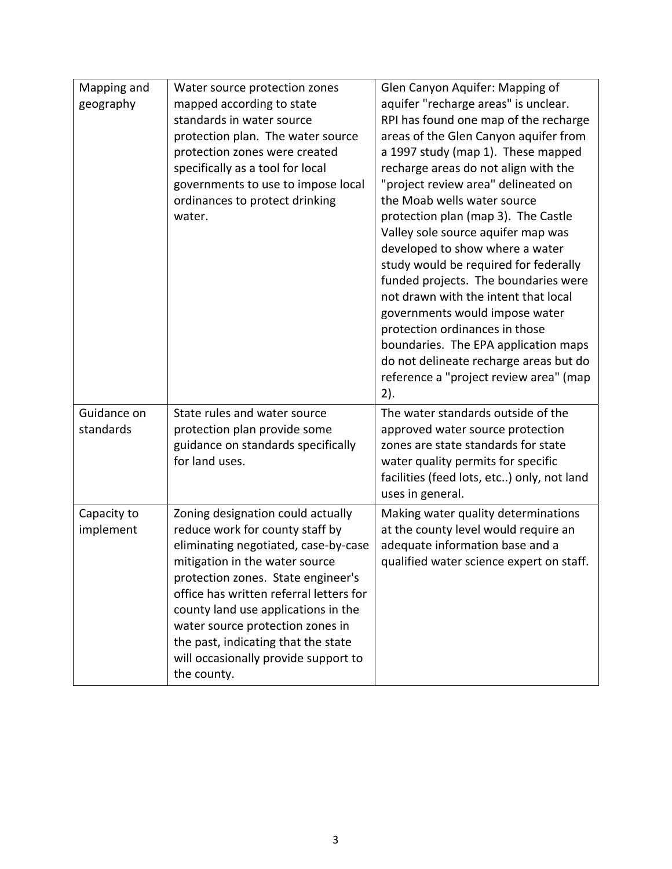| Mapping and | Water source protection zones            | Glen Canyon Aquifer: Mapping of                                          |
|-------------|------------------------------------------|--------------------------------------------------------------------------|
| geography   | mapped according to state                | aquifer "recharge areas" is unclear.                                     |
|             | standards in water source                | RPI has found one map of the recharge                                    |
|             | protection plan. The water source        | areas of the Glen Canyon aquifer from                                    |
|             | protection zones were created            | a 1997 study (map 1). These mapped                                       |
|             | specifically as a tool for local         | recharge areas do not align with the                                     |
|             | governments to use to impose local       | "project review area" delineated on<br>the Moab wells water source       |
|             | ordinances to protect drinking<br>water. |                                                                          |
|             |                                          | protection plan (map 3). The Castle                                      |
|             |                                          | Valley sole source aquifer map was                                       |
|             |                                          | developed to show where a water<br>study would be required for federally |
|             |                                          | funded projects. The boundaries were                                     |
|             |                                          | not drawn with the intent that local                                     |
|             |                                          | governments would impose water                                           |
|             |                                          | protection ordinances in those                                           |
|             |                                          | boundaries. The EPA application maps                                     |
|             |                                          | do not delineate recharge areas but do                                   |
|             |                                          | reference a "project review area" (map                                   |
|             |                                          | 2).                                                                      |
| Guidance on | State rules and water source             | The water standards outside of the                                       |
| standards   | protection plan provide some             | approved water source protection                                         |
|             | guidance on standards specifically       | zones are state standards for state                                      |
|             |                                          |                                                                          |
|             | for land uses.                           |                                                                          |
|             |                                          | water quality permits for specific                                       |
|             |                                          | facilities (feed lots, etc) only, not land<br>uses in general.           |
| Capacity to | Zoning designation could actually        | Making water quality determinations                                      |
| implement   | reduce work for county staff by          | at the county level would require an                                     |
|             | eliminating negotiated, case-by-case     | adequate information base and a                                          |
|             | mitigation in the water source           | qualified water science expert on staff.                                 |
|             | protection zones. State engineer's       |                                                                          |
|             | office has written referral letters for  |                                                                          |
|             | county land use applications in the      |                                                                          |
|             | water source protection zones in         |                                                                          |
|             | the past, indicating that the state      |                                                                          |
|             | will occasionally provide support to     |                                                                          |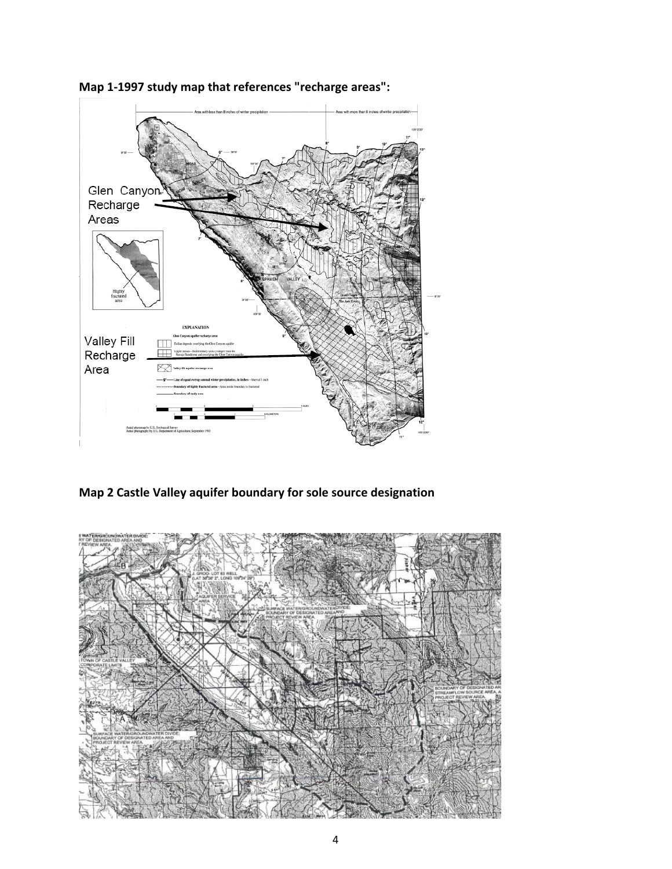

**Map 1‐1997 study map that references "recharge areas":**

**Map 2 Castle Valley aquifer boundary for sole source designation**

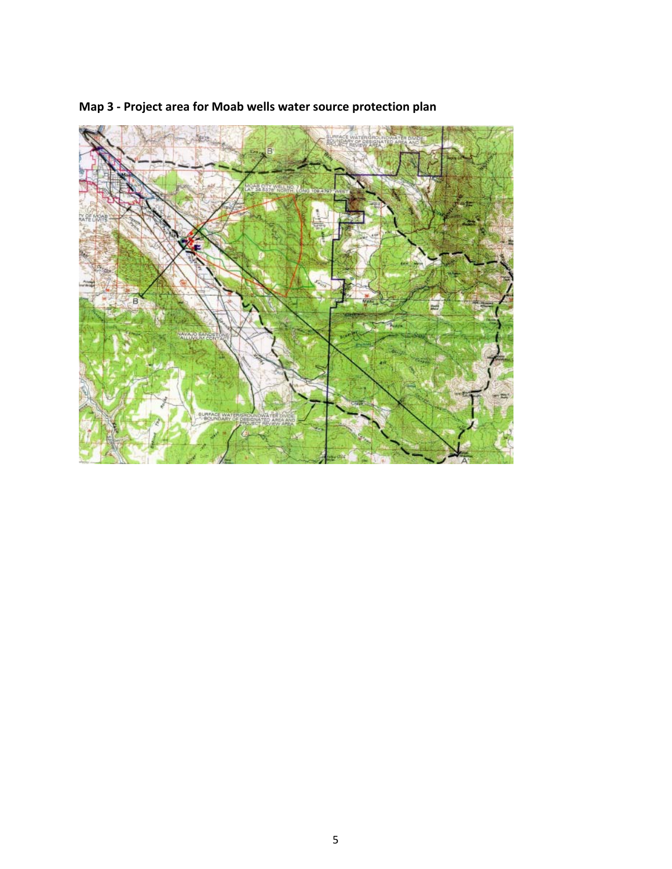

# **Map 3 ‐ Project area for Moab wells water source protection plan**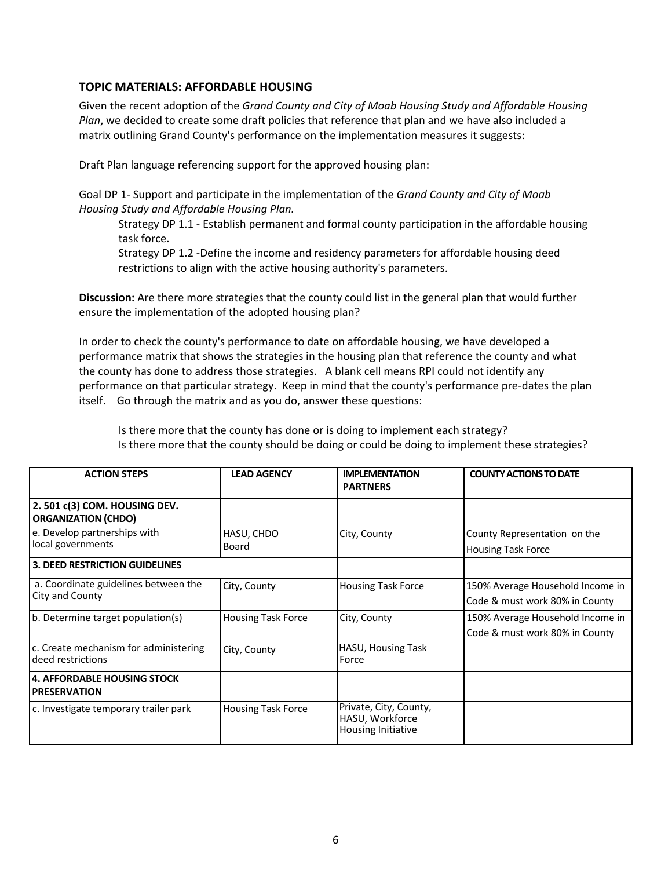### **TOPIC MATERIALS: AFFORDABLE HOUSING**

Given the recent adoption of the *Grand County and City of Moab Housing Study and Affordable Housing Plan*, we decided to create some draft policies that reference that plan and we have also included a matrix outlining Grand County's performance on the implementation measures it suggests:

Draft Plan language referencing support for the approved housing plan:

Goal DP 1‐ Support and participate in the implementation of the *Grand County and City of Moab Housing Study and Affordable Housing Plan.* 

Strategy DP 1.1 ‐ Establish permanent and formal county participation in the affordable housing task force.

Strategy DP 1.2 ‐Define the income and residency parameters for affordable housing deed restrictions to align with the active housing authority's parameters.

**Discussion:** Are there more strategies that the county could list in the general plan that would further ensure the implementation of the adopted housing plan?

In order to check the county's performance to date on affordable housing, we have developed a performance matrix that shows the strategies in the housing plan that reference the county and what the county has done to address those strategies. A blank cell means RPI could not identify any performance on that particular strategy. Keep in mind that the county's performance pre‐dates the plan itself. Go through the matrix and as you do, answer these questions:

Is there more that the county has done or is doing to implement each strategy? Is there more that the county should be doing or could be doing to implement these strategies?

| <b>ACTION STEPS</b>                                        | <b>LEAD AGENCY</b>        | <b>IMPLEMENTATION</b><br><b>PARTNERS</b>                        | <b>COUNTY ACTIONS TO DATE</b>                                      |
|------------------------------------------------------------|---------------------------|-----------------------------------------------------------------|--------------------------------------------------------------------|
| 2.501 c(3) COM. HOUSING DEV.<br><b>ORGANIZATION (CHDO)</b> |                           |                                                                 |                                                                    |
| e. Develop partnerships with<br>local governments          | HASU, CHDO<br>Board       | City, County                                                    | County Representation on the<br><b>Housing Task Force</b>          |
| <b>3. DEED RESTRICTION GUIDELINES</b>                      |                           |                                                                 |                                                                    |
| a. Coordinate guidelines between the<br>City and County    | City, County              | <b>Housing Task Force</b>                                       | 150% Average Household Income in<br>Code & must work 80% in County |
| b. Determine target population(s)                          | <b>Housing Task Force</b> | City, County                                                    | 150% Average Household Income in<br>Code & must work 80% in County |
| c. Create mechanism for administering<br>deed restrictions | City, County              | HASU, Housing Task<br>Force                                     |                                                                    |
| 4. AFFORDABLE HOUSING STOCK<br><b>PRESERVATION</b>         |                           |                                                                 |                                                                    |
| c. Investigate temporary trailer park                      | <b>Housing Task Force</b> | Private, City, County,<br>HASU, Workforce<br>Housing Initiative |                                                                    |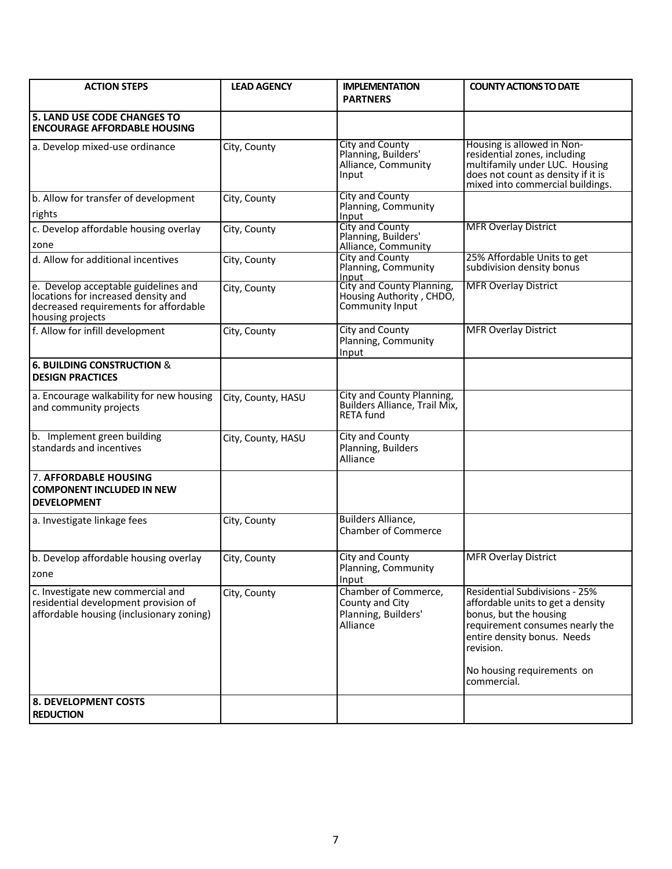| <b>ACTION STEPS</b>                                                                                                                      | <b>LEAD AGENCY</b> | <b>IMPLEMENTATION</b><br><b>PARTNERS</b>                                       | <b>COUNTY ACTIONS TO DATE</b>                                                                                                                                                       |
|------------------------------------------------------------------------------------------------------------------------------------------|--------------------|--------------------------------------------------------------------------------|-------------------------------------------------------------------------------------------------------------------------------------------------------------------------------------|
| <b>5. LAND USE CODE CHANGES TO</b><br><b>ENCOURAGE AFFORDABLE HOUSING</b>                                                                |                    |                                                                                |                                                                                                                                                                                     |
| a. Develop mixed-use ordinance                                                                                                           | City, County       | <b>City and County</b><br>Planning, Builders'<br>Alliance, Community<br>Input  | Housing is allowed in Non-<br>residential zones, including<br>multifamily under LUC. Housing<br>does not count as density if it is<br>mixed into commercial buildings.              |
| b. Allow for transfer of development<br>rights                                                                                           | City, County       | <b>City and County</b><br>Planning, Community<br>Input                         |                                                                                                                                                                                     |
| c. Develop affordable housing overlay<br>zone                                                                                            | City, County       | City and County<br>Planning, Builders'<br>Alliance, Community                  | <b>MFR Overlay District</b>                                                                                                                                                         |
| d. Allow for additional incentives                                                                                                       | City, County       | City and County<br>Planning, Community<br>Input                                | 25% Affordable Units to get<br>subdivision density bonus                                                                                                                            |
| e. Develop acceptable guidelines and<br>locations for increased density and<br>decreased requirements for affordable<br>housing projects | City, County       | City and County Planning,<br>Housing Authority, CHDO,<br>Community Input       | <b>MFR Overlay District</b>                                                                                                                                                         |
| f. Allow for infill development                                                                                                          | City, County       | City and County<br>Planning, Community<br>Input                                | <b>MFR Overlay District</b>                                                                                                                                                         |
| <b>6. BUILDING CONSTRUCTION &amp;</b><br><b>DESIGN PRACTICES</b>                                                                         |                    |                                                                                |                                                                                                                                                                                     |
| a. Encourage walkability for new housing<br>and community projects                                                                       | City, County, HASU | City and County Planning,<br>Builders Alliance, Trail Mix,<br><b>RETA fund</b> |                                                                                                                                                                                     |
| b. Implement green building<br>standards and incentives                                                                                  | City, County, HASU | City and County<br>Planning, Builders<br>Alliance                              |                                                                                                                                                                                     |
| <b>7. AFFORDABLE HOUSING</b><br><b>COMPONENT INCLUDED IN NEW</b><br><b>DEVELOPMENT</b>                                                   |                    |                                                                                |                                                                                                                                                                                     |
| a. Investigate linkage fees                                                                                                              | City, County       | <b>Builders Alliance,</b><br><b>Chamber of Commerce</b>                        |                                                                                                                                                                                     |
| b. Develop affordable housing overlay<br>zone                                                                                            | City, County       | City and County<br>Planning, Community<br>Input                                | <b>MFR Overlay District</b>                                                                                                                                                         |
| c. Investigate new commercial and<br>residential development provision of<br>affordable housing (inclusionary zoning)                    | City, County       | Chamber of Commerce,<br>County and City<br>Planning, Builders'<br>Alliance     | <b>Residential Subdivisions - 25%</b><br>affordable units to get a density<br>bonus, but the housing<br>requirement consumes nearly the<br>entire density bonus. Needs<br>revision. |
|                                                                                                                                          |                    |                                                                                | No housing requirements on<br>commercial.                                                                                                                                           |
| <b>8. DEVELOPMENT COSTS</b><br><b>REDUCTION</b>                                                                                          |                    |                                                                                |                                                                                                                                                                                     |